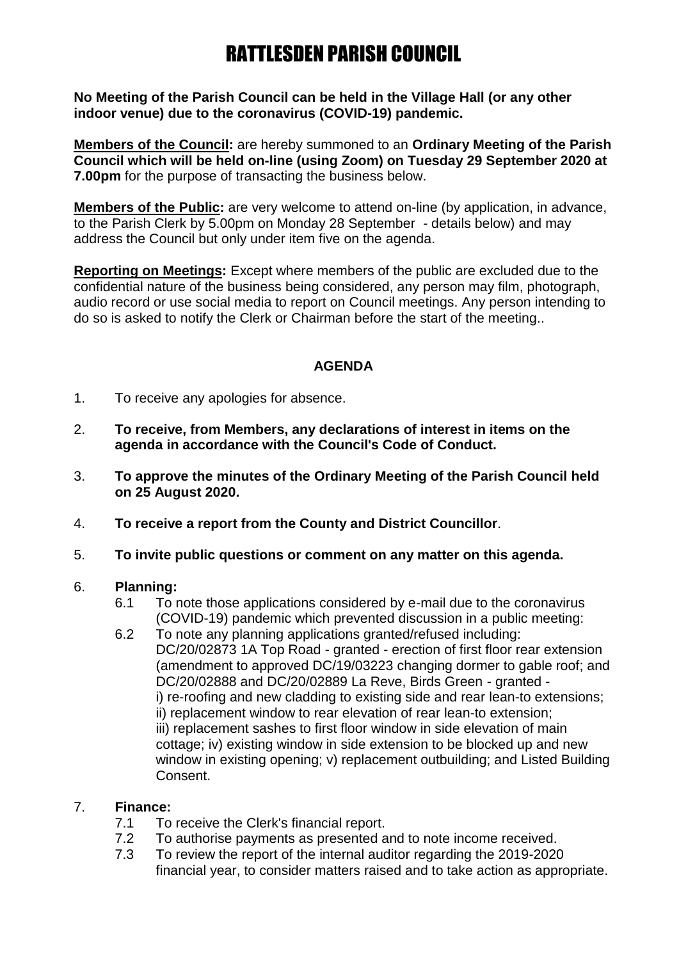# RATTLESDEN PARISH COUNCIL

**No Meeting of the Parish Council can be held in the Village Hall (or any other indoor venue) due to the coronavirus (COVID-19) pandemic.**

**Members of the Council:** are hereby summoned to an **Ordinary Meeting of the Parish Council which will be held on-line (using Zoom) on Tuesday 29 September 2020 at 7.00pm** for the purpose of transacting the business below.

**Members of the Public:** are very welcome to attend on-line (by application, in advance, to the Parish Clerk by 5.00pm on Monday 28 September - details below) and may address the Council but only under item five on the agenda.

**Reporting on Meetings:** Except where members of the public are excluded due to the confidential nature of the business being considered, any person may film, photograph, audio record or use social media to report on Council meetings. Any person intending to do so is asked to notify the Clerk or Chairman before the start of the meeting..

## **AGENDA**

- 1. To receive any apologies for absence.
- 2. **To receive, from Members, any declarations of interest in items on the agenda in accordance with the Council's Code of Conduct.**
- 3. **To approve the minutes of the Ordinary Meeting of the Parish Council held on 25 August 2020.**
- 4. **To receive a report from the County and District Councillor**.
- 5. **To invite public questions or comment on any matter on this agenda.**

#### 6. **Planning:**

- 6.1 To note those applications considered by e-mail due to the coronavirus (COVID-19) pandemic which prevented discussion in a public meeting:
- 6.2 To note any planning applications granted/refused including: DC/20/02873 1A Top Road - granted - erection of first floor rear extension (amendment to approved DC/19/03223 changing dormer to gable roof; and DC/20/02888 and DC/20/02889 La Reve, Birds Green - granted i) re-roofing and new cladding to existing side and rear lean-to extensions; ii) replacement window to rear elevation of rear lean-to extension; iii) replacement sashes to first floor window in side elevation of main cottage; iv) existing window in side extension to be blocked up and new window in existing opening; v) replacement outbuilding; and Listed Building Consent.

## 7. **Finance:**

- 7.1 To receive the Clerk's financial report.
- 7.2 To authorise payments as presented and to note income received.
- 7.3 To review the report of the internal auditor regarding the 2019-2020 financial year, to consider matters raised and to take action as appropriate.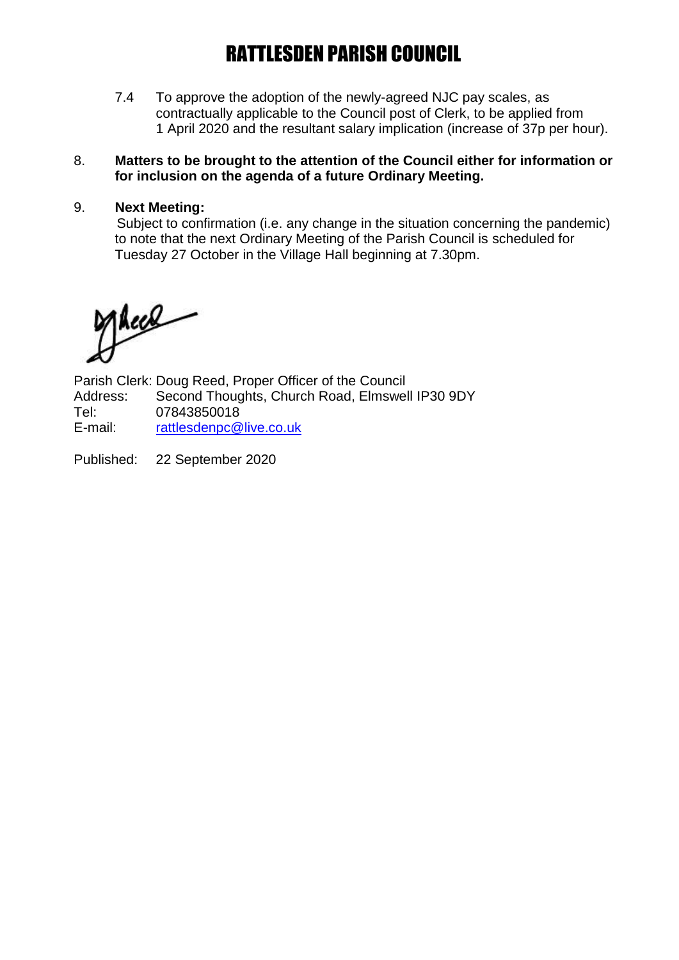# RATTLESDEN PARISH COUNCIL

7.4 To approve the adoption of the newly-agreed NJC pay scales, as contractually applicable to the Council post of Clerk, to be applied from 1 April 2020 and the resultant salary implication (increase of 37p per hour).

### 8. **Matters to be brought to the attention of the Council either for information or for inclusion on the agenda of a future Ordinary Meeting.**

### 9. **Next Meeting:**

Subject to confirmation (i.e. any change in the situation concerning the pandemic) to note that the next Ordinary Meeting of the Parish Council is scheduled for Tuesday 27 October in the Village Hall beginning at 7.30pm.

Alece

Parish Clerk: Doug Reed, Proper Officer of the Council Address: Second Thoughts, Church Road, Elmswell IP30 9DY Tel: 07843850018 E-mail: [rattlesdenpc@live.co.uk](mailto:rattlesdenpc@live.co.uk)

Published: 22 September 2020